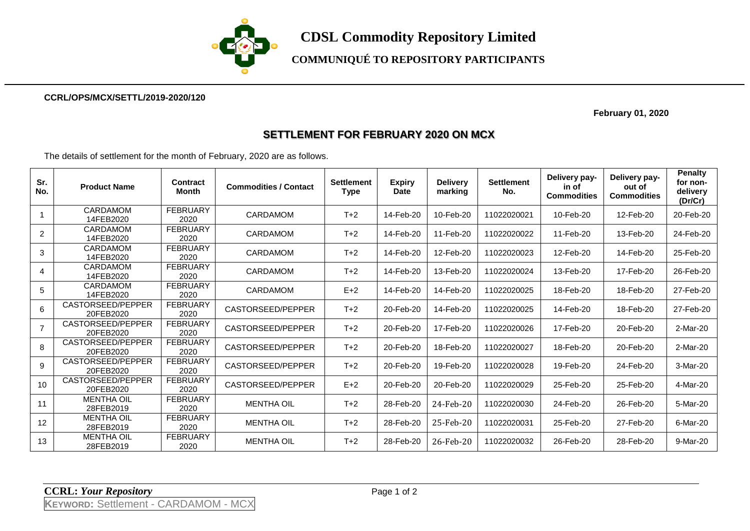

**COMMUNIQUÉ TO REPOSITORY PARTICIPANTS**

## **CCRL/OPS/MCX/SETTL/2019-2020/120**

 **February 01, 2020**

## **SETTLEMENT FOR FEBRUARY 2020 ON MCX**

The details of settlement for the month of February, 2020 are as follows.

| Sr.<br>No.     | <b>Product Name</b>            | <b>Contract</b><br><b>Month</b> | <b>Commodities / Contact</b> | <b>Settlement</b><br><b>Type</b> | <b>Expiry</b><br><b>Date</b> | <b>Delivery</b><br>marking | <b>Settlement</b><br>No. | Delivery pay-<br>in of<br><b>Commodities</b> | Delivery pay-<br>out of<br><b>Commodities</b> | Penalty<br>for non-<br>delivery<br>(Dr/Cr) |
|----------------|--------------------------------|---------------------------------|------------------------------|----------------------------------|------------------------------|----------------------------|--------------------------|----------------------------------------------|-----------------------------------------------|--------------------------------------------|
|                | CARDAMOM<br>14FEB2020          | <b>FEBRUARY</b><br>2020         | CARDAMOM                     | $T+2$                            | 14-Feb-20                    | 10-Feb-20                  | 11022020021              | 10-Feb-20                                    | 12-Feb-20                                     | 20-Feb-20                                  |
| 2              | CARDAMOM<br>14FEB2020          | <b>FEBRUARY</b><br>2020         | <b>CARDAMOM</b>              | $T+2$                            | 14-Feb-20                    | 11-Feb-20                  | 11022020022              | 11-Feb-20                                    | 13-Feb-20                                     | 24-Feb-20                                  |
| 3              | CARDAMOM<br>14FEB2020          | <b>FEBRUARY</b><br>2020         | <b>CARDAMOM</b>              | $T+2$                            | 14-Feb-20                    | 12-Feb-20                  | 11022020023              | 12-Feb-20                                    | 14-Feb-20                                     | 25-Feb-20                                  |
| 4              | CARDAMOM<br>14FEB2020          | <b>FEBRUARY</b><br>2020         | <b>CARDAMOM</b>              | $T+2$                            | 14-Feb-20                    | 13-Feb-20                  | 11022020024              | 13-Feb-20                                    | 17-Feb-20                                     | 26-Feb-20                                  |
| 5              | <b>CARDAMOM</b><br>14FEB2020   | <b>FEBRUARY</b><br>2020         | <b>CARDAMOM</b>              | $E+2$                            | 14-Feb-20                    | 14-Feb-20                  | 11022020025              | 18-Feb-20                                    | 18-Feb-20                                     | 27-Feb-20                                  |
| 6              | CASTORSEED/PEPPER<br>20FEB2020 | <b>FEBRUARY</b><br>2020         | CASTORSEED/PEPPER            | $T+2$                            | 20-Feb-20                    | 14-Feb-20                  | 11022020025              | 14-Feb-20                                    | 18-Feb-20                                     | 27-Feb-20                                  |
| $\overline{7}$ | CASTORSEED/PEPPER<br>20FEB2020 | <b>FEBRUARY</b><br>2020         | CASTORSEED/PEPPER            | $T+2$                            | 20-Feb-20                    | 17-Feb-20                  | 11022020026              | 17-Feb-20                                    | 20-Feb-20                                     | 2-Mar-20                                   |
| 8              | CASTORSEED/PEPPER<br>20FEB2020 | <b>FEBRUARY</b><br>2020         | CASTORSEED/PEPPER            | $T+2$                            | 20-Feb-20                    | 18-Feb-20                  | 11022020027              | 18-Feb-20                                    | 20-Feb-20                                     | 2-Mar-20                                   |
| 9              | CASTORSEED/PEPPER<br>20FEB2020 | <b>FEBRUARY</b><br>2020         | CASTORSEED/PEPPER            | $T+2$                            | 20-Feb-20                    | 19-Feb-20                  | 11022020028              | 19-Feb-20                                    | 24-Feb-20                                     | 3-Mar-20                                   |
| 10             | CASTORSEED/PEPPER<br>20FEB2020 | <b>FEBRUARY</b><br>2020         | CASTORSEED/PEPPER            | $E+2$                            | 20-Feb-20                    | 20-Feb-20                  | 11022020029              | 25-Feb-20                                    | 25-Feb-20                                     | 4-Mar-20                                   |
| 11             | <b>MENTHA OIL</b><br>28FEB2019 | <b>FEBRUARY</b><br>2020         | <b>MENTHA OIL</b>            | $T+2$                            | 28-Feb-20                    | 24-Feb-20                  | 11022020030              | 24-Feb-20                                    | 26-Feb-20                                     | 5-Mar-20                                   |
| 12             | <b>MENTHA OIL</b><br>28FEB2019 | <b>FEBRUARY</b><br>2020         | <b>MENTHA OIL</b>            | $T+2$                            | 28-Feb-20                    | 25-Feb-20                  | 11022020031              | 25-Feb-20                                    | 27-Feb-20                                     | 6-Mar-20                                   |
| 13             | <b>MENTHA OIL</b><br>28FEB2019 | <b>FEBRUARY</b><br>2020         | <b>MENTHA OIL</b>            | $T+2$                            | 28-Feb-20                    | 26-Feb-20                  | 11022020032              | 26-Feb-20                                    | 28-Feb-20                                     | 9-Mar-20                                   |

**CCRL:** *Your Repository* Page 1 of 2